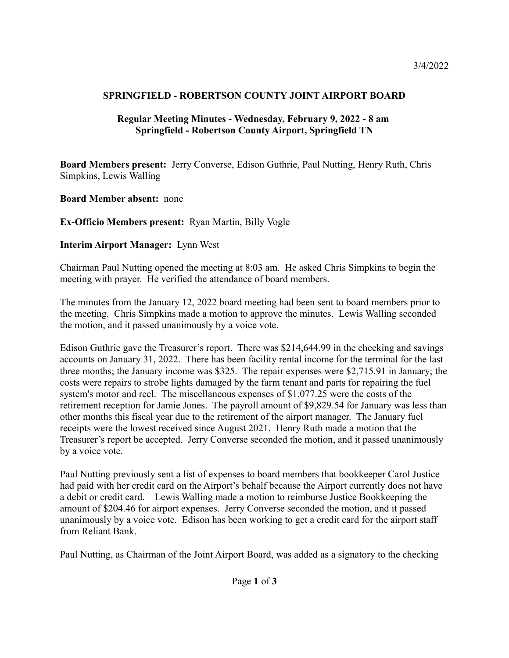## **SPRINGFIELD - ROBERTSON COUNTY JOINT AIRPORT BOARD**

## **Regular Meeting Minutes - Wednesday, February 9, 2022 - 8 am Springfield - Robertson County Airport, Springfield TN**

**Board Members present:** Jerry Converse, Edison Guthrie, Paul Nutting, Henry Ruth, Chris Simpkins, Lewis Walling

**Board Member absent:** none

**Ex-Officio Members present:** Ryan Martin, Billy Vogle

## **Interim Airport Manager:** Lynn West

Chairman Paul Nutting opened the meeting at 8:03 am. He asked Chris Simpkins to begin the meeting with prayer. He verified the attendance of board members.

The minutes from the January 12, 2022 board meeting had been sent to board members prior to the meeting. Chris Simpkins made a motion to approve the minutes. Lewis Walling seconded the motion, and it passed unanimously by a voice vote.

Edison Guthrie gave the Treasurer's report. There was \$214,644.99 in the checking and savings accounts on January 31, 2022. There has been facility rental income for the terminal for the last three months; the January income was \$325. The repair expenses were \$2,715.91 in January; the costs were repairs to strobe lights damaged by the farm tenant and parts for repairing the fuel system's motor and reel. The miscellaneous expenses of \$1,077.25 were the costs of the retirement reception for Jamie Jones. The payroll amount of \$9,829.54 for January was less than other months this fiscal year due to the retirement of the airport manager. The January fuel receipts were the lowest received since August 2021. Henry Ruth made a motion that the Treasurer's report be accepted. Jerry Converse seconded the motion, and it passed unanimously by a voice vote.

Paul Nutting previously sent a list of expenses to board members that bookkeeper Carol Justice had paid with her credit card on the Airport's behalf because the Airport currently does not have a debit or credit card. Lewis Walling made a motion to reimburse Justice Bookkeeping the amount of \$204.46 for airport expenses. Jerry Converse seconded the motion, and it passed unanimously by a voice vote. Edison has been working to get a credit card for the airport staff from Reliant Bank.

Paul Nutting, as Chairman of the Joint Airport Board, was added as a signatory to the checking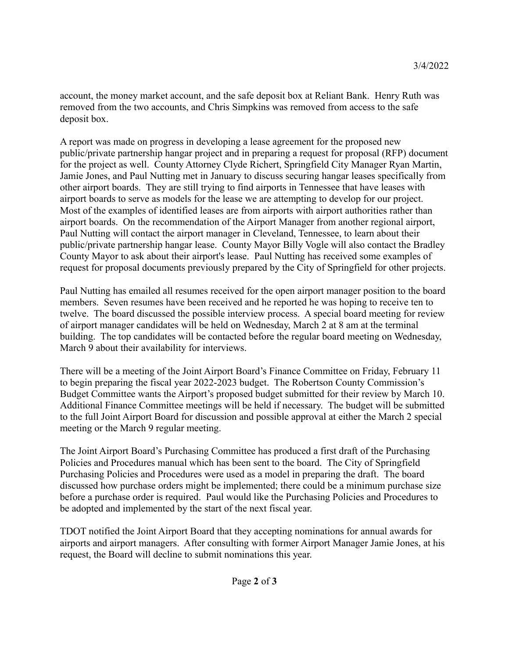account, the money market account, and the safe deposit box at Reliant Bank. Henry Ruth was removed from the two accounts, and Chris Simpkins was removed from access to the safe deposit box.

A report was made on progress in developing a lease agreement for the proposed new public/private partnership hangar project and in preparing a request for proposal (RFP) document for the project as well. County Attorney Clyde Richert, Springfield City Manager Ryan Martin, Jamie Jones, and Paul Nutting met in January to discuss securing hangar leases specifically from other airport boards. They are still trying to find airports in Tennessee that have leases with airport boards to serve as models for the lease we are attempting to develop for our project. Most of the examples of identified leases are from airports with airport authorities rather than airport boards. On the recommendation of the Airport Manager from another regional airport, Paul Nutting will contact the airport manager in Cleveland, Tennessee, to learn about their public/private partnership hangar lease. County Mayor Billy Vogle will also contact the Bradley County Mayor to ask about their airport's lease. Paul Nutting has received some examples of request for proposal documents previously prepared by the City of Springfield for other projects.

Paul Nutting has emailed all resumes received for the open airport manager position to the board members. Seven resumes have been received and he reported he was hoping to receive ten to twelve. The board discussed the possible interview process. A special board meeting for review of airport manager candidates will be held on Wednesday, March 2 at 8 am at the terminal building. The top candidates will be contacted before the regular board meeting on Wednesday, March 9 about their availability for interviews.

There will be a meeting of the Joint Airport Board's Finance Committee on Friday, February 11 to begin preparing the fiscal year 2022-2023 budget. The Robertson County Commission's Budget Committee wants the Airport's proposed budget submitted for their review by March 10. Additional Finance Committee meetings will be held if necessary. The budget will be submitted to the full Joint Airport Board for discussion and possible approval at either the March 2 special meeting or the March 9 regular meeting.

The Joint Airport Board's Purchasing Committee has produced a first draft of the Purchasing Policies and Procedures manual which has been sent to the board. The City of Springfield Purchasing Policies and Procedures were used as a model in preparing the draft. The board discussed how purchase orders might be implemented; there could be a minimum purchase size before a purchase order is required. Paul would like the Purchasing Policies and Procedures to be adopted and implemented by the start of the next fiscal year.

TDOT notified the Joint Airport Board that they accepting nominations for annual awards for airports and airport managers. After consulting with former Airport Manager Jamie Jones, at his request, the Board will decline to submit nominations this year.